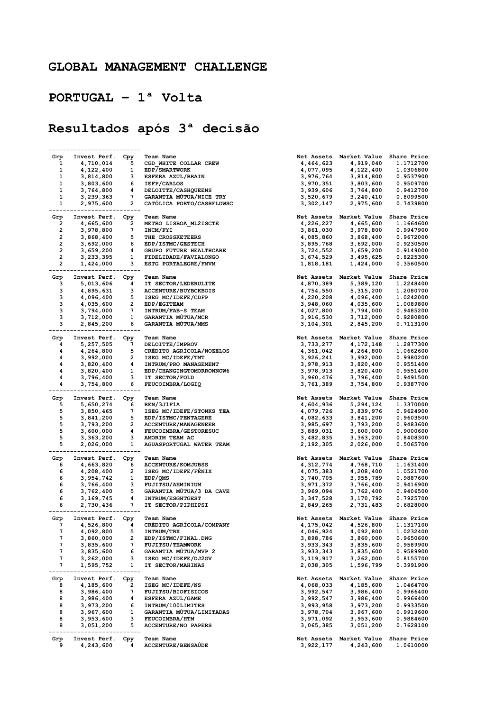## GLOBAL MANAGEMENT CHALLENGE

## PORTUGAL – 1ª Volta

## Resultados após 3ª decisão

|                         | Invest Perf.     | Cpy         | <b>Team Name</b><br>Net Assets           | Market Value                        | Share Price        |
|-------------------------|------------------|-------------|------------------------------------------|-------------------------------------|--------------------|
| Grp                     |                  |             |                                          |                                     |                    |
| 1                       | 4,710,014        | 5           | CGD WHITE COLLAR CREW<br>4,464,623       | 4,919,040                           | 1.1712700          |
| 1                       | 4,122,400        | 1           | EDP/SMARTWORK<br>4,077,095               | 4,122,400                           | 1.0306800          |
| 1                       | 3,814,800        | з           | ESFERA AZUL/BRAIN<br>3,976,764           | 3,814,800                           | 0.9537900          |
| 1                       | 3,803,600        | 6           | IEFP/CARLOS<br>3,970,351                 | 3,803,600                           | 0.9509700          |
| 1                       | 3,764,800        | 4           | DELOITTE/CASHQUEENS<br>3,939,606         | 3,764,800                           | 0.9412700          |
| 1                       |                  | 7           |                                          |                                     |                    |
|                         | 3,239,363        |             | GARANTIA MUTUA/NICE TRY<br>3,520,679     | 3,240,410                           | 0.8099500          |
| 1                       | 2,975,600        | 2<br>------ | CATOLICA PORTO/CASHFLOWSC<br>3,302,147   | 2,975,600                           | 0.7439800          |
| Grp                     |                  |             | Net Assets                               | Market Value                        |                    |
|                         | Invest Perf.     | Cpy         | Team Name                                |                                     | <b>Share Price</b> |
| 2                       | 4,665,600        | 2           | METRO LISBOA ML2ISCTE<br>4,226,227       | 4,665,600                           | 1.1664600          |
| 2                       | 3,978,800        | 7           | INCM/FYI<br>3,861,030                    | 3,978,800                           | 0.9947900          |
| 2                       | 3,868,400        | 5           | THE CROSSKETEERS<br>4,085,860            | 3,868,400                           | 0.9672000          |
| $\overline{\mathbf{c}}$ | 3,692,000        | 6           | EDP/ISTMC/GESTECH<br>3,895,768           | 3,692,000                           | 0.9230500          |
| 2                       | 3,659,200        | 4           | 3,724,552<br>GRUPO FUTURE HEALTHCARE     | 3,659,200                           | 0.9149000          |
| 2                       | 3,233,395        | 1           | FIDELIDADE/FAVIALONGO<br>3,674,529       | 3,495,625                           | 0.8225300          |
|                         |                  |             |                                          |                                     |                    |
| 2                       | 1,424,000        | з           | ESTG PORTALEGRE/FMVM<br>1,818,181        | 1,424,000                           | 0.3560500          |
| Grp                     | Invest Perf.     | Cpy         | Team Name                                | Net Assets Market Value Share Price |                    |
|                         |                  |             |                                          |                                     |                    |
| з                       | 5,013,606        | 4           | IT SECTOR/LEDERULITE<br>4,870,389        | 5,389,120                           | 1.2248400          |
| з                       | 4,895,631        | з           | ACCENTURE/BUYBCKBOIS<br>4,754,550        | 5,315,200                           | 1.2080700          |
| з                       | 4,096,400        | 5           | ISEG MC/IDEFE/CDFP<br>4,220,208          | 4,096,400                           | 1.0242000          |
| з                       | 4,035,600        | 2           | EDP/EGITEAM<br>3,948,060                 | 4,035,600                           | 1.0089800          |
| з                       | 3,794,000        | 7           | INTRUM/FAB-S TEAM<br>4,027,800           | 3,794,000                           | 0.9485200          |
| з                       |                  | 1           |                                          | 3,712,000                           |                    |
|                         | 3,712,000        |             | GARANTIA MUTUA/MCR<br>3,916,530          |                                     | 0.9280800          |
| з                       | 2,845,200        | 6           | GARANTIA MÚTUA/MMS<br>3,104,301          | 2,845,200                           | 0.7113100          |
| Grp                     | Invest Perf.     | Cpy         | <b>Team Name</b>                         | Net Assets Market Value Share Price |                    |
|                         |                  |             |                                          |                                     |                    |
| 4                       | 5,257,505        | 7           | DELOITTE/IMPROV<br>3,733,277             | 4,172,148                           | 1.2877300          |
| 4                       | 4,264,800        | 5           | CREDITO AGRICOLA/NOZELOS<br>4,361,042    | 4,264,800                           | 1.0662600          |
| 4                       | 3,992,000        | 2           | ISEG MC/IDEFE/TMT<br>3,926,241           | 3,992,000                           | 0.9980200          |
| 4                       | 3,820,400        | 4           | INTRUM/PRO MANAGEMENT<br>3,978,913       | 3,820,400                           | 0.9551400          |
| 4                       | 3,820,400        | 1           | EDP/CHANGINGTOMORROWNOW6<br>3,978,913    | 3,820,400                           | 0.9551400          |
| 4                       |                  | з           | IT SECTOR/FOLD                           |                                     | 0.9491500          |
|                         | 3,796,400        |             | 3,960,476                                | 3,796,400                           |                    |
| 4                       | 3,754,800        | 6           | FEUCOIMBRA/LOGIQ<br>3,761,389            | 3,754,800                           | 0.9387700          |
|                         |                  |             | <b>Team Name</b>                         |                                     |                    |
| Grp                     | Invest Perf. Cpy |             | Net Assets                               | Market Value Share Price            |                    |
| 5                       | 5,650,274        | 6           | REN/3J1F1A<br>4,604,936                  | 5,294,124                           | 1.3370000          |
| 5                       | 3,850,465        | 7           | ISEG MC/IDEFE/STONKS TEA<br>4,079,726    | 3,839,976                           | 0.9624900          |
| 5                       | 3,841,200        | 5           | EDP/ISTMC/PENTAGERE<br>4,082,633         | 3,841,200                           | 0.9603500          |
| 5                       | 3,793,200        | 2           | <b>ACCENTURE/MANAGENEER</b><br>3,985,697 | 3,793,200                           | 0.9483600          |
| 5                       | 3,600,000        | 4           | FEUCOIMBRA/GESTORESUC<br>3,889,031       | 3,600,000                           | 0.9000600          |
| 5                       |                  |             |                                          |                                     |                    |
|                         | 3,363,200        | з           | AMORIM TEAM AC<br>3,482,835              | 3,363,200                           | 0.8408300          |
| 5                       | 2,026,000        | 1           | AGUASPORTUGAL WATER TEAM<br>2,192,305    | 2,026,000                           | 0.5065700          |
| Grp                     | Invest Perf.     | Cpy         | Net Assets<br>Team Name                  | Market Value                        | <b>Share Price</b> |
|                         |                  |             |                                          |                                     |                    |
| 6                       | 4,663,820        | 6           | <b>ACCENTURE/KOMJUBSS</b><br>4,312,774   | 4,768,710                           | 1.1631400          |
| 6                       | 4,208,400        | 2           | ISEG MC/IDEFE/FÊNIX<br>4,075,383         | 4,208,400                           | 1.0521700          |
| 6                       | 3,954,742        | 1           | EDP/QMS<br>3,740,705                     | 3,955,789                           | 0.9887600          |
| 6                       | 3,766,400        | з           | FUJITSU/AEMINIUM<br>3,971,372            | 3,766,400                           | 0.9416900          |
| 6                       | 3,762,400        | 5           | GARANTIA MUTUA/3 DA CAVE<br>3,969,094    | 3,762,400                           | 0.9406500          |
| 6                       | 3,169,745        | 4           | INTRUM/ESGHTGEST<br>3,347,528            | 3,170,792                           | 0.7925700          |
|                         |                  |             |                                          |                                     |                    |
| 6                       | 2,730,436        | 7           | IT SECTOR/PIPHIPSI<br>2,849,265          | 2,731,483                           | 0.6828000          |
| Grp                     | Invest Perf.     | Cpy         | <b>Team Name</b>                         | Net Assets Market Value             | Share Price        |
|                         |                  |             | CRÉDITO AGRÍCOLA/COMPANY                 |                                     |                    |
| $\prime$                | 4,526,800        | 4           | 4,175,042                                | 4,526,800                           | 1.1317100          |
| 7                       | 4,092,800        | 5           | INTRUM/TRX<br>4,046,924                  | 4,092,800                           | 1.0232400          |
| 7                       | 3,860,000        | 2           | EDP/ISTMC/FINAL.DWG<br>3,898,786         | 3,860,000                           | 0.9650600          |
| 7                       | 3,835,600        | 7           | FUJITSU/TEAMWORK<br>3,933,343            | 3,835,600                           | 0.9589900          |
| 7                       | 3,835,600        | 6           | GARANTIA MÚTUA/MVP 2<br>3,933,343        | 3,835,600                           | 0.9589900          |
| 7                       | 3,262,000        | з           | ISEG MC/IDEFE/DJ2GV<br>3,119,917         | 3,262,000                           | 0.8155700          |
| 7                       | 1,595,752        | 1           | IT SECTOR/MAHINAS<br>2,038,305           | 1,596,799                           | 0.3991900          |
|                         |                  |             |                                          |                                     |                    |
| Grp                     | Invest Perf.     | Cpy         | Net Assets<br><b>Team Name</b>           | Market Value                        | Share Price        |
| 8                       | 4,185,600        | 2           | ISEG MC/IDEFE/NS<br>4,068,033            | 4,185,600                           | 1.0464700          |
|                         |                  |             |                                          |                                     |                    |
| 8                       | 3,986,400        | 7           | <b>FUJITSU/BIOFISICOS</b><br>3,992,547   | 3,986,400                           | 0.9966400          |
| 8                       | 3,986,400        | 4           | ESFERA AZUL/GAME<br>3,992,547            | 3,986,400                           | 0.9966400          |
| 8                       | 3,973,200        | 6           | INTRUM/100LIMITES<br>3,993,958           | 3,973,200                           | 0.9933500          |
| 8                       | 3,967,600        | 1           | GARANTIA MÚTUA/LIMITADAS<br>3,978,704    | 3,967,600                           | 0.9919600          |
| 8                       | 3,953,600        | з           | FEUCOIMBRA/HTM<br>3,971,092              | 3,953,600                           | 0.9884600          |
| 8                       | 3,051,200        | 5           | <b>ACCENTURE/NO PAPERS</b><br>3,065,385  | 3,051,200                           | 0.7628100          |
|                         |                  | ----        |                                          |                                     |                    |
| Grp                     | Invest Perf.     | Cpy         | <b>Team Name</b><br>Net Assets           | Market Value                        | Share Price        |
|                         |                  |             |                                          |                                     |                    |
| 9                       | 4,243,600        | 4           | <b>ACCENTURE/BENSAÚDE</b><br>3,922,177   | 4,243,600                           | 1.0610000          |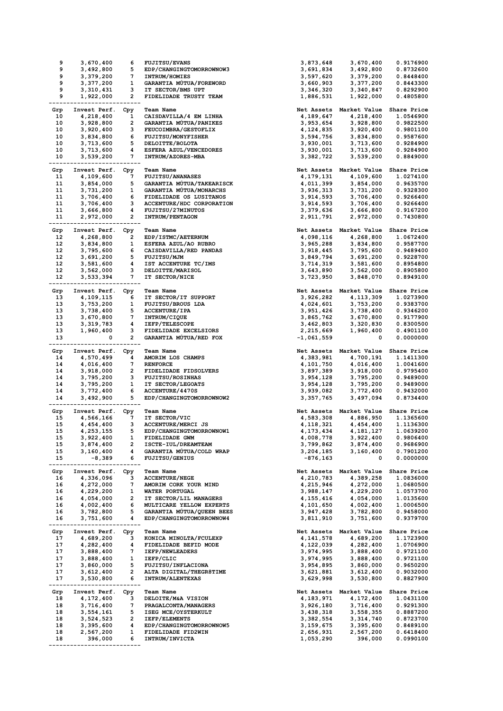| 9          | 3,670,400          | 6                | <b>FUJITSU/EVANS</b>      | 3,873,648    | 3,670,400                           | 0.9176900                |
|------------|--------------------|------------------|---------------------------|--------------|-------------------------------------|--------------------------|
| 9          | 3,492,800          | 5                | EDP/CHANGINGTOMORROWNOW3  | 3,691,834    | 3,492,800                           | 0.8732600                |
| 9          | 3,379,200          | 7                | <b>INTRUM/HOMIES</b>      | 3,597,620    | 3,379,200                           | 0.8448400                |
| 9          | 3,377,200          | 1                | GARANTIA MUTUA/FOREWORD   | 3,660,903    | 3,377,200                           | 0.8443300                |
| 9          | 3,310,431          | з                | IT SECTOR/BMS UPT         | 3,346,320    | 3,340,847                           | 0.8292900                |
| 9          | 1,922,000          | 2                | FIDELIDADE TRUSTY TEAM    | 1,886,531    | 1,922,000                           | 0.4805800                |
|            |                    |                  |                           |              |                                     |                          |
| Grp        | Invest Perf.       | Cpy              | <b>Team Name</b>          |              | Net Assets Market Value Share Price |                          |
| 10         | 4,218,400          | 1                | CAISDAVILLA/4 EM LINHA    | 4,189,647    | 4,218,400                           | 1.0546900                |
| 10         | 3,928,800          | 2                | GARANTIA MUTUA/PANIKES    | 3,953,654    | 3,928,800                           | 0.9822500                |
| 10         | 3,920,400          | з                | FEUCOIMBRA/GESTOFLIX      | 4,124,835    | 3,920,400                           | 0.9801100                |
| 10         | 3,834,800          | 6                | <b>FUJITSU/MONYFISHER</b> | 3,594,756    | 3,834,800                           | 0.9587600                |
| 10         | 3,713,600          | 5                | DELOITTE/BOLOTA           | 3,930,001    | 3,713,600                           | 0.9284900                |
| 10         | 3,713,600          | 4                | ESFERA AZUL/VENCEDORES    | 3,930,001    | 3,713,600                           | 0.9284900                |
|            |                    | 7                |                           |              |                                     |                          |
| 10         | 3,539,200          |                  | INTRUM/AZORES-MBA         | 3,382,722    | 3,539,200                           | 0.8849000                |
|            |                    |                  |                           |              |                                     |                          |
| Grp        | Invest Perf. Cpy   |                  | <b>Team Name</b>          |              | Net Assets Market Value Share Price |                          |
| 11         | 4,109,600          | 7                | <b>FUJITSU/ANANASES</b>   | 4,179,131    | 4,109,600                           | 1.0274100                |
| 11         | 3,854,000          | 5                | GARANTIA MÚTUA/TAKEARISCK | 4,011,399    | 3,854,000                           | 0.9635700                |
| 11         | 3,731,200          | 1                | GARANTIA MÚTUA/MONARCHS   | 3,936,313    | 3,731,200                           | 0.9328300                |
| 11         | 3,706,400          | 6                | FIDELIDADE OS LUSITANOS   | 3,914,593    | 3,706,400                           | 0.9266400                |
| 11         | 3,706,400          | з                | ACCENTURE/HDC CORPORATION | 3,914,593    | 3,706,400                           | 0.9266400                |
| 11         | 3,666,800          | 4                | FUJITSU/27MINUTOS         | 3,379,636    | 3,666,800                           | 0.9167200                |
| 11         | 2,972,000          | 2                | INTRUM/PENTAGON           | 2,911,791    | 2,972,000                           | 0.7430800                |
|            |                    |                  |                           |              |                                     |                          |
| Grp        | Invest Perf. Cpy   |                  | <b>Team Name</b>          |              | Net Assets Market Value Share Price |                          |
| 12         | 4,268,800          | 2                | EDP/ISTMC/AETERNUM        | 4,098,116    | 4,268,800                           | 1.0672400                |
| 12         | 3,834,800          | 1                | ESFERA AZUL/AO RUBRO      | 3,965,288    | 3,834,800                           | 0.9587700                |
| 12         | 3,795,600          | 6                | CAISDAVILLA/RED PANDAS    | 3,918,445    | 3,795,600                           | 0.9489400                |
| 12         | 3,691,200          | 5                | <b>FUJITSU/MJM</b>        | 3,849,794    | 3,691,200                           | 0.9228700                |
| 12         | 3,581,600          | 4                | IST ACCENTURE TC/IMS      | 3,714,319    | 3,581,600                           | 0.8954800                |
| 12         | 3,562,000          | з                | DELOITTE/MARISOL          | 3,643,890    | 3,562,000                           | 0.8905800                |
| 12         | 3,533,394          | 7                | IT SECTOR/NICE            | 3,723,950    | 3,848,070                           | 0.8949100                |
|            |                    |                  |                           |              |                                     |                          |
| Grp        | Invest Perf. Cpy   |                  | <b>Team Name</b>          | Net Assets   | Market Value Share Price            |                          |
| 13         | 4,109,115          | 6                | IT SECTOR/IT SUPPORT      | 3,926,282    | 4,113,309                           | 1.0273900                |
| 13         |                    | 1                | <b>FUJITSU/BROUS LDA</b>  |              |                                     |                          |
|            | 3,753,200          |                  |                           | 4,024,601    | 3,753,200                           | 0.9383700                |
| 13         | 3,738,400          | 5                | <b>ACCENTURE/IPA</b>      | 3,951,426    | 3,738,400                           | 0.9346200                |
| 13         | 3,670,800          | 7                | INTRUM/CIQUE              | 3,865,762    | 3,670,800                           | 0.9177900                |
| 13         | 3,319,783          | 4                | IEFP/TELESCOPE            | 3,462,803    | 3,320,830                           | 0.8300500                |
| 13         | 1,960,400          | з                | FIDELIDADE EXCELSIORS     | 2,215,669    | 1,960,400                           | 0.4901100                |
| 13         | 0                  | 2                | GARANTIA MUTUA/RED FOX    | $-1,061,559$ | 0                                   | 0.0000000                |
|            |                    | ----             |                           |              |                                     |                          |
| Grp        | Invest Perf.       | Cpy              | <b>Team Name</b>          | Net Assets   | Market Value                        | <b>Share Price</b>       |
| 14         | 4,570,499          | 4                | AMORIM LOS CHAMPS         | 4,383,981    | 4,700,191                           | 1.1411300                |
| 14         | 4,016,400          | 7                | <b>RENFORCE</b>           | 4,101,750    | 4,016,400                           | 1.0041600                |
| 14         | 3,918,000          | 2                | FIDELIDADE FIDSOLVERS     | 3,897,389    | 3,918,000                           | 0.9795400                |
| 14         | 3,795,200          | з                | <b>FUJITSU/ROSINHAS</b>   | 3,954,128    | 3,795,200                           | 0.9489000                |
| 14         | 3,795,200          | 1                | IT SECTOR/LEGOATS         | 3,954,128    | 3,795,200                           | 0.9489000                |
| 14         | 3,772,400          | 6                | ACCENTURE/4470S           | 3,939,082    | 3,772,400                           | 0.9432000                |
| 14         | 3,492,900          | 5                | EDP/CHANGINGTOMORROWNOW2  | 3,357,765    | 3,497,094                           | 0.8734400                |
|            |                    | -----            |                           |              |                                     |                          |
| Grp        | Invest Perf. Cpy   |                  | <b>Team Name</b>          |              | Net Assets Market Value Share Price |                          |
| 15         | 4,566,166          | 7                | IT SECTOR/VIC             | 4,583,308    | 4,886,950                           | 1.1365600                |
| 15         | 4,454,400          | з                | ACCENTURE/MERCI JS        | 4, 118, 321  | 4,454,400                           | 1.1136300                |
| 15         | 4,253,155          | 5                | EDP/CHANGINGTOMORROWNOW1  | 4,173,434    | 4,181,127                           | 1.0639200                |
| 15         | 3,922,400          | $\mathbf{1}$     | FIDELIDADE GWM            | 4,008,778    | 3,922,400                           | 0.9806400                |
| 15         | 3,874,400          | 2                | ISCTE-IUL/DREAMTEAM       | 3,799,862    | 3,874,400                           | 0.9686900                |
| 15         |                    | 4                | GARANTIA MÚTUA/COLD WRAP  |              |                                     |                          |
|            | 3,160,400          |                  |                           | 3,204,185    | 3,160,400                           | 0.7901200                |
| 15<br>---- | $-8,389$           | 6<br>-------     | FUJITSU/GENIUS            | $-876, 163$  | 0                                   | 0.0000000                |
|            |                    |                  |                           |              |                                     |                          |
| Grp        | Invest Perf.       | Cpy              | <b>Team Name</b>          |              |                                     | Market Value Share Price |
| 16         |                    |                  |                           | Net Assets   |                                     |                          |
| 16         | 4,336,096          | 3                | <b>ACCENTURE/NEGE</b>     | 4,210,783    | 4,389,258                           | 1.0836000                |
|            | 4,272,000          | 7                | AMORIM CORK YOUR MIND     | 4,215,946    | 4,272,000                           | 1.0680500                |
| 16         | 4,229,200          | $\mathbf{1}$     | WATER PORTUGAL            | 3,988,147    | 4,229,200                           | 1.0573700                |
| 16         | 4,054,000          | $\overline{2}$   | IT SECTOR/LIL MANAGERS    | 4,155,416    | 4,054,000                           | 1.0135600                |
| 16         | 4,002,400          | 6                | MULTICARE YELLOW EXPERTS  | 4,101,650    | 4,002,400                           | 1.0006500                |
| 16         | 3,782,800          | 5                | GARANTIA MUTUA/QUEEN BEES | 3,947,428    | 3,782,800                           | 0.9458000                |
| 16         | 3,751,600          | 4                | EDP/CHANGINGTOMORROWNOW4  | 3,811,910    | 3,751,600                           | 0.9379700                |
|            |                    |                  |                           |              |                                     |                          |
| Grp        | Invest Perf.       | Cpy              | <b>Team Name</b>          | Net Assets   | Market Value Share Price            |                          |
| 17         | 4,689,200          | 3                | KONICA MINOLTA/FCULEXP    | 4, 141, 578  | 4,689,200                           | 1.1723900                |
| 17         | 4,282,400          | 4                | FIDELIDADE BEFID MODE     | 4,122,039    | 4,282,400                           | 1.0706900                |
| 17         | 3,888,400          | 7                | <b>IEFP/NEWLEADERS</b>    | 3,974,995    | 3,888,400                           | 0.9721100                |
| 17         | 3,888,400          | 1                | IEFP/CLIC                 | 3,974,995    | 3,888,400                           | 0.9721100                |
| 17         | 3,860,000          | 5                | <b>FUJITSU/INFLACIONA</b> | 3,954,895    | 3,860,000                           | 0.9650200                |
| 17         | 3,612,400          | $\overline{2}$   | ALTA DIGITAL/THEGR8TIME   | 3,621,881    | 3,612,400                           | 0.9032000                |
| 17         | 3,530,800          | 6                | <b>INTRUM/ALENTEXAS</b>   | 3,629,998    | 3,530,800                           | 0.8827900                |
|            | ------------------ | -------          |                           |              |                                     |                          |
|            | Invest Perf.       |                  | <b>Team Name</b>          | Net Assets   | Market Value Share Price            |                          |
| Grp<br>18  |                    | Cpy<br>з         | DELOITE/M&A VISION        |              |                                     | 1.0431100                |
|            | 4,172,400          | 7                |                           | 4,183,971    | 4,172,400                           |                          |
| 18         | 3,716,400          |                  | PRAGALCONTA/MANAGERS      | 3,926,180    | 3,716,400                           | 0.9291300                |
| 18         | 3,554,161          | 5                | ISEG MCE/OYSTERKULT       | 3,438,318    | 3,558,355                           | 0.8887200                |
| 18         | 3,524,523          | $\overline{2}$   | <b>IEFP/ELEMENTS</b>      | 3,382,554    | 3,314,740                           | 0.8723700                |
| 18         | 3,395,600          | 4                | EDP/CHANGINGTOMORROWNOW5  | 3,159,675    | 3,395,600                           | 0.8489100                |
| 18         | 2,567,200          | 1                | FIDELIDADE FID2WIN        | 2,656,931    | 2,567,200                           | 0.6418400                |
| 18         | 396,000            | 6<br>----------- | INTRUM/INVICTA            | 1,053,290    | 396,000                             | 0.0990100                |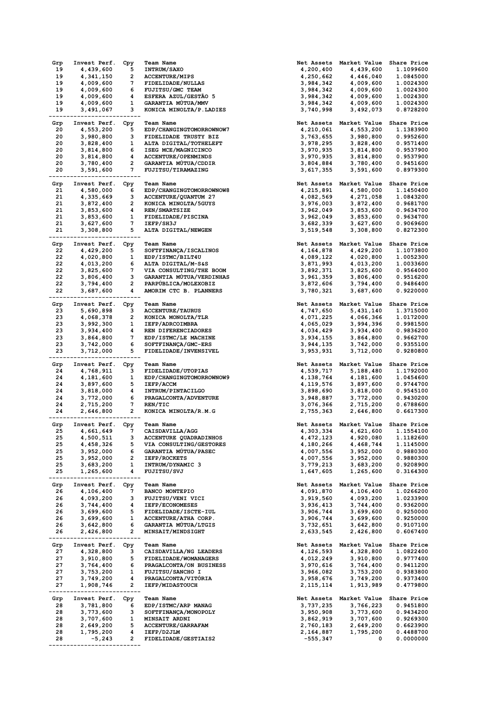| Grp   | Invest Perf.                      | Cpy                     | <b>Team Name</b>                          | Net Assets | Market Value                        | Share Price        |
|-------|-----------------------------------|-------------------------|-------------------------------------------|------------|-------------------------------------|--------------------|
| 19    | 4,439,600                         | 5                       | <b>INTRUM/SAXO</b>                        | 4,200,400  | 4,439,600                           | 1.1099600          |
| 19    | 4,341,150                         | 2                       | <b>ACCENTURE/MIPS</b>                     | 4,250,662  | 4,446,040                           | 1.0845000          |
| 19    | 4,009,600                         | 7                       | FIDELIDADE/NULLAS                         | 3,984,342  | 4,009,600                           | 1.0024300          |
| 19    | 4,009,600                         | 6                       | FUJITSU/GMC TEAM                          | 3,984,342  |                                     |                    |
|       |                                   |                         |                                           |            | 4,009,600                           | 1.0024300          |
| 19    | 4,009,600                         | 4                       | ESFERA AZUL/GESTÃO 5                      | 3,984,342  | 4,009,600                           | 1.0024300          |
| 19    | 4,009,600                         | 1                       | GARANTIA MÚTUA/MMV                        | 3,984,342  | 4,009,600                           | 1.0024300          |
| 19    | 3,491,067                         | з                       | KONICA MINOLTA/P.LADIES                   | 3,740,998  | 3,492,073                           | 0.8728200          |
|       |                                   |                         |                                           |            |                                     |                    |
| Grp   | Invest Perf.                      | Cpy                     | <b>Team Name</b>                          | Net Assets | Market Value                        | Share Price        |
| 20    | 4,553,200                         | 5                       | EDP/CHANGINGTOMORROWNOW7                  | 4,210,061  | 4,553,200                           | 1.1383900          |
| 20    | 3,980,800                         | з                       | FIDELIDADE TRUSTY BIZ                     | 3,763,655  | 3,980,800                           | 0.9952600          |
| 20    | 3,828,400                         | 1                       | ALTA DIGITAL/TOTHELEFT                    | 3,978,295  | 3,828,400                           | 0.9571400          |
| 20    | 3,814,800                         | 6                       | ISEG MCE/MAGNICINCO                       | 3,970,935  | 3,814,800                           | 0.9537900          |
|       |                                   | 4                       | <b>ACCENTURE/OPENMINDS</b>                |            |                                     |                    |
| 20    | 3,814,800                         |                         |                                           | 3,970,935  | 3,814,800                           | 0.9537900          |
| 20    | 3,780,400                         | 2                       | GARANTIA MÚTUA/CDDIR                      | 3,804,884  | 3,780,400                           | 0.9451600          |
| 20    | 3,591,600                         | 7                       | FUJITSU/TIRAMAZING                        | 3,617,355  | 3,591,600                           | 0.8979300          |
|       |                                   | $- - - -$               |                                           |            |                                     |                    |
| Grp   | Invest Perf.                      | Cpy                     | <b>Team Name</b>                          | Net Assets | Market Value                        | Share Price        |
| 21    | 4,580,000                         | 6                       | EDP/CHANGINGTOMORROWNOW8                  | 4,215,891  | 4,580,000                           | 1.1450400          |
| 21    | 4,335,669                         | з                       | <b>ACCENTURE/QUANTUM 27</b>               | 4,082,569  | 4,271,058                           | 1.0843200          |
| 21    | 3,872,400                         | 2                       | KONICA MINOLTA/5GUYS                      | 3,976,003  | 3,872,400                           | 0.9681700          |
| 21    | 3,853,600                         | 4                       | REN/SMARTSIZE                             | 3,962,049  | 3,853,600                           | 0.9634700          |
| 21    | 3,853,600                         | 1                       | FIDELIDADE/PISCINA                        | 3,962,049  | 3,853,600                           | 0.9634700          |
| 21    |                                   | 7                       | IEFP/SH3J                                 |            |                                     |                    |
|       | 3,627,600                         |                         |                                           | 3,682,339  | 3,627,600                           | 0.9069600          |
| 21    | 3,308,800                         | 5                       | ALTA DIGITAL/NEWGEN                       | 3,519,548  | 3,308,800                           | 0.8272300          |
|       |                                   |                         |                                           |            |                                     |                    |
| Grp   | Invest Perf.                      | Cpy                     | <b>Team Name</b>                          | Net Assets | Market Value                        | Share Price        |
| 22    | 4,429,200                         | 5                       | SOFTFINANÇA/ISCALINOS                     | 4,164,878  | 4,429,200                           | 1.1073800          |
| 22    | 4,020,800                         | 1                       | EDP/ISTMC/BILT4U                          | 4,089,122  | 4,020,800                           | 1.0052300          |
| 22    | 4,013,200                         | 6                       | ALTA DIGITAL/M-S&S                        | 3,871,993  | 4,013,200                           | 1.0033600          |
| 22    | 3,825,600                         | 7                       | VIA CONSULTING/THE BOOM                   | 3,892,371  | 3,825,600                           | 0.9564000          |
| 22    | 3,806,400                         | з                       | GARANTIA MÚTUA/VERDINHAS                  | 3,961,359  | 3,806,400                           | 0.9516200          |
|       |                                   |                         |                                           |            |                                     |                    |
| 22    | 3,794,400                         | 2                       | PARPÚBLICA/MOLEXOBIZ                      | 3,872,606  | 3,794,400                           | 0.9486400          |
| 22    | 3,687,600                         | 4                       | AMORIM CTC B. PLANNERS                    | 3,780,321  | 3,687,600                           | 0.9220000          |
|       |                                   |                         |                                           |            |                                     |                    |
| Grp   | Invest Perf.                      | Cpy                     | <b>Team Name</b>                          | Net Assets | Market Value                        | Share Price        |
| 23    | 5,690,898                         | з                       | <b>ACCENTURE/TAURUS</b>                   | 4,747,650  | 5,431,140                           | 1.3715000          |
| 23    | 4,068,378                         | 2                       | KONICA MONOLTA/TLR                        | 4,071,225  | 4,066,366                           | 1.0172000          |
| 23    | 3,992,300                         | 1                       | IEFP/ADRCOIMBRA                           | 4,065,029  | 3,994,396                           | 0.9981500          |
| 23    | 3,934,400                         | 4                       | REN DIFERENCIADORES                       | 4,034,429  | 3,934,400                           | 0.9836200          |
| 23    | 3,864,800                         | 7                       | EDP/ISTMC/LE MACHINE                      | 3,934,155  | 3,864,800                           | 0.9662700          |
|       |                                   |                         |                                           |            |                                     |                    |
| 23    | 3,742,000                         | 6                       | SOFTFINANÇA/GMC-ERS                       | 3,944,135  | 3,742,000                           | 0.9355100          |
| 23    | 3,712,000                         | 5                       | FIDELIDADE/INVENSIVEL                     | 3,953,931  | 3,712,000                           | 0.9280800          |
|       |                                   |                         |                                           |            |                                     |                    |
|       |                                   |                         |                                           |            |                                     |                    |
| Grp   | Invest Perf.                      | Cpy                     | <b>Team Name</b>                          | Net Assets | Market Value                        | <b>Share Price</b> |
| 24    | 4,768,911                         | з                       | FIDELIDADE/UTOPIAS                        | 4,539,717  | 5,188,480                           | 1.1792000          |
| 24    |                                   | 1                       |                                           |            |                                     | 1.0454600          |
|       | 4,181,600                         |                         | EDP/CHANGINGTOMORROWNOW9                  | 4,138,764  | 4,181,600                           |                    |
| 24    | 3,897,600                         | 5                       | IEFP/ACCM                                 | 4,119,576  | 3,897,600                           | 0.9744700          |
| 24    | 3,818,000                         | 4                       | INTRUM/PINTACILGO                         | 3,898,690  | 3,818,000                           | 0.9545100          |
| 24    | 3,772,000                         | 6                       | PRAGALCONTA/ADVENTURE                     | 3,948,887  | 3,772,000                           | 0.9430200          |
| 24    | 2,715,200                         | 7                       | REN/TIC                                   | 3,076,366  | 2,715,200                           | 0.6788600          |
| 24    | 2,646,800                         | 2                       | KONICA MINOLTA/R.M.G                      | 2,755,363  | 2,646,800                           | 0.6617300          |
|       |                                   |                         |                                           |            |                                     |                    |
| Grp   | Invest Perf.                      | Cpy                     | <b>Team Name</b>                          |            | Net Assets Market Value             | Share Price        |
| 25    | 4,661,649                         | 7                       | CAISDAVILLA/AGG                           | 4,303,334  | 4,621,600                           | 1.1554100          |
| 25    | 4,500,511                         | 3                       | ACCENTURE QUADRADINHOS                    | 4,472,123  | 4,920,080                           | 1.1182600          |
| 25    | 4,458,326                         | $5 -$                   | VIA CONSULTING/GESTORES                   | 4,180,266  | 4,468,744                           | 1.1145000          |
| 25    |                                   | 6                       | GARANTIA MÚTUA/PASEC                      |            |                                     |                    |
|       | 3,952,000                         |                         |                                           | 4,007,556  | 3,952,000                           | 0.9880300          |
| 25    | 3,952,000                         | $\overline{2}$          | IEFP/ROCKETS                              | 4,007,556  | 3,952,000                           | 0.9880300          |
| 25    | 3,683,200                         | $\mathbf{1}$            | INTRUM/DYNAMIC 3                          | 3,779,213  | 3,683,200                           | 0.9208900          |
| 25    | 1,265,600<br>-------------------- | 4                       | FUJITSU/SVJ                               | 1,647,605  | 1,265,600                           | 0.3164300          |
| ----- |                                   |                         |                                           |            |                                     |                    |
| Grp   | Invest Perf.                      | Сру                     | Team Name                                 |            | Net Assets Market Value Share Price |                    |
| 26    | 4,106,400                         | $\overline{7}$          | <b>BANCO MONTEPIO</b>                     | 4,091,870  | 4,106,400                           | 1.0266200          |
| 26    | 4,093,200                         | 3                       | FUJITSU/VENI VICI                         | 3,919,560  | 4,093,200                           | 1.0233900          |
| 26    | 3,744,400                         | 4                       | <b>IEFP/ECONOMESES</b>                    | 3,936,413  | 3,744,400                           | 0.9362000          |
| 26    | 3,699,600                         | $5 -$                   | FIDELIDADE/ISCTE-IUL                      | 3,906,744  | 3,699,600                           | 0.9250000          |
|       |                                   | $\mathbf{1}$            |                                           |            |                                     | 0.9250000          |
| 26    | 3,699,600                         |                         | ACCENTURE/ATHA CORP.                      | 3,906,744  | 3,699,600                           |                    |
| 26    | 3,642,800                         | 6                       | GARANTIA MÚTUA/LTGIS<br>MINSAIT/MINDSIGHT | 3,732,651  | 3,642,800                           | 0.9107100          |
| 26    | 2,426,800                         | $\mathbf{2}$            |                                           | 2,633,545  | 2,426,800                           | 0.6067400          |
|       |                                   |                         |                                           |            |                                     |                    |
| Grp   | Invest Perf. Cpy                  |                         | <b>Team Name</b>                          |            | Net Assets Market Value Share Price |                    |
| 27    | 4,328,800                         | 3                       | CAISDAVILLA/NG LEADERS                    | 4,126,593  | 4,328,800                           | 1.0822400          |
| 27    | 3,910,800                         | 5                       | FIDELIDADE/WOMANAGERS                     | 4,012,249  | 3,910,800                           | 0.9777400          |
| 27    | 3,764,400                         | 6                       | PRAGALCONTA/ON BUSINESS                   | 3,970,616  | 3,764,400                           | 0.9411200          |
| 27    | 3,753,200                         | $\mathbf{1}$            | FUJITSU/SANCHO I                          | 3,966,082  | 3,753,200                           | 0.9383800          |
| 27    | 3,749,200                         | $\overline{\mathbf{4}}$ | PRAGALCONTA/VITÓRIA                       | 3,958,676  | 3,749,200                           | 0.9373400          |
| 27    | 1,908,746                         | $\mathbf{2}$            | IEFP/MIDASTOUCH                           | 2,115,114  | 1,913,989                           | 0.4779800          |
| ----  | ----------------------            |                         |                                           |            |                                     |                    |
|       |                                   |                         | <b>Team Name</b>                          |            |                                     |                    |
| Grp   | Invest Perf.                      | Cpy                     |                                           |            | Net Assets Market Value Share Price |                    |
| 28    | 3,781,800                         | 6                       | EDP/ISTMC/ARP MANAG                       | 3,737,235  | 3,766,223                           | 0.9451800          |
| 28    | 3,773,600                         | 3                       | SOFTFINANÇA/MONOPOLY                      | 3,950,908  | 3,773,600                           | 0.9434200          |
| 28    | 3,707,600                         | $\mathbf{1}$            | <b>MINSAIT ARDNI</b>                      | 3,862,919  | 3,707,600                           | 0.9269300          |
| 28    | 2,649,200                         | 5                       | <b>ACCENTURE/GARRAFAM</b>                 | 2,760,183  | 2,649,200                           | 0.6623900          |
| 28    | 1,795,200                         |                         | 4 IEFP/D2JLM                              | 2,164,887  | 1,795,200                           | 0.4488700          |
| 28    | -5,243                            | $\mathbf{2}$            | FIDELIDADE/GESTIAIS2                      | -555,347   | 0                                   | 0.0000000          |